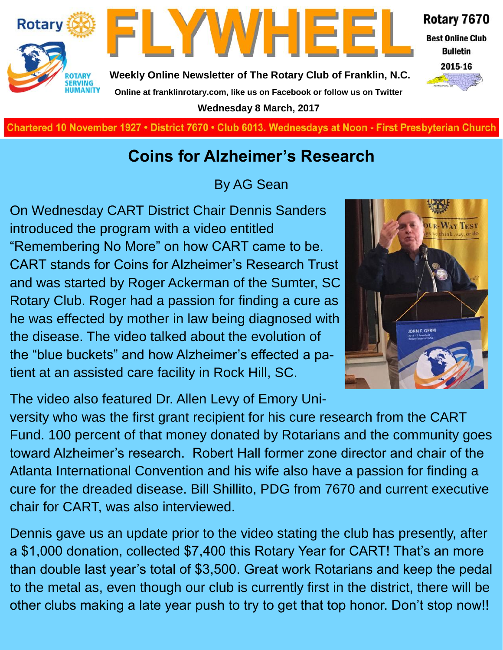



**Weekly Online Newsletter of The Rotary Club of Franklin, N.C. Online at franklinrotary.com, like us on Facebook or follow us on Twitter**

**Wednesday 8 March, 2017**

Rotary 7670

**Best Online Club Bulletin** 



**Charted November 29, 1927 • District 7670 • Club 6013 Wednesdays at Noon - First Presbyterian Church**

## **Coins for Alzheimer's Research**

By AG Sean

On Wednesday CART District Chair Dennis Sanders introduced the program with a video entitled "Remembering No More" on how CART came to be. CART stands for Coins for Alzheimer's Research Trust and was started by Roger Ackerman of the Sumter, SC Rotary Club. Roger had a passion for finding a cure as he was effected by mother in law being diagnosed with the disease. The video talked about the evolution of the "blue buckets" and how Alzheimer's effected a patient at an assisted care facility in Rock Hill, SC.

The video also featured Dr. Allen Levy of Emory Uni-

versity who was the first grant recipient for his cure research from the CART Fund. 100 percent of that money donated by Rotarians and the community goes toward Alzheimer's research. Robert Hall former zone director and chair of the Atlanta International Convention and his wife also have a passion for finding a cure for the dreaded disease. Bill Shillito, PDG from 7670 and current executive chair for CART, was also interviewed.

Dennis gave us an update prior to the video stating the club has presently, after a \$1,000 donation, collected \$7,400 this Rotary Year for CART! That's an more than double last year's total of \$3,500. Great work Rotarians and keep the pedal to the metal as, even though our club is currently first in the district, there will be other clubs making a late year push to try to get that top honor. Don't stop now!!

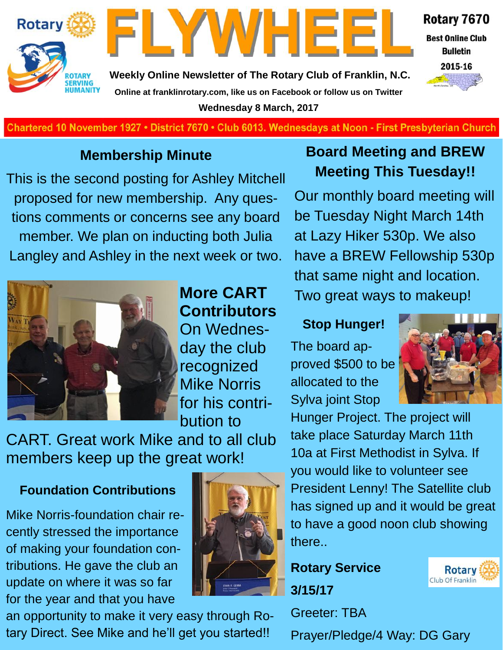



**Weekly Online Newsletter of The Rotary Club of Franklin, N.C. Online at franklinrotary.com, like us on Facebook or follow us on Twitter Wednesday 8 March, 2017**



**Best Online Club Bulletin** 



Chartered 10 November 1927 • District 7670 • Club 6013. Wednesdays at Noon - First Presbyterian Church

#### **Membership Minute**

This is the second posting for Ashley Mitchell proposed for new membership. Any questions comments or concerns see any board member. We plan on inducting both Julia Langley and Ashley in the next week or two.

### **Board Meeting and BREW Meeting This Tuesday!!**

Our monthly board meeting will be Tuesday Night March 14th at Lazy Hiker 530p. We also have a BREW Fellowship 530p that same night and location. Two great ways to makeup!



## **More CART Contributors**

On Wednesday the club recognized Mike Norris for his contribution to

CART. Great work Mike and to all club members keep up the great work!

#### **Foundation Contributions**

Mike Norris-foundation chair recently stressed the importance of making your foundation contributions. He gave the club an update on where it was so far for the year and that you have



# **Stop Hunger!**

The board approved \$500 to be allocated to the Sylva joint Stop



Hunger Project. The project will take place Saturday March 11th 10a at First Methodist in Sylva. If you would like to volunteer see President Lenny! The Satellite club has signed up and it would be great to have a good noon club showing there..

**Rotary Service 3/15/17**

Greeter: TBA

Prayer/Pledge/4 Way: DG Gary

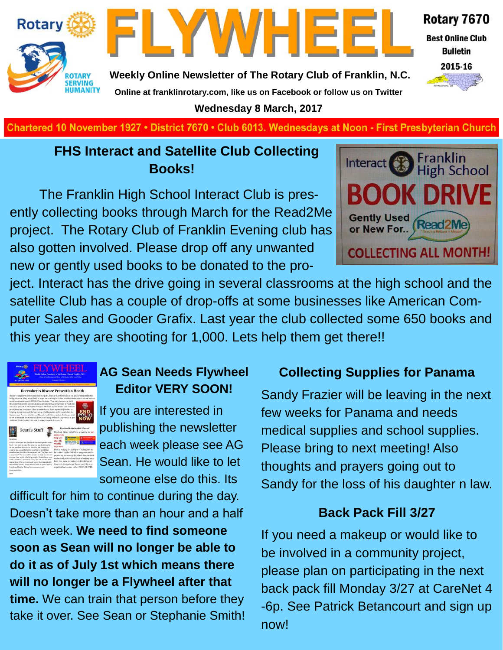



**Weekly Online Newsletter of The Rotary Club of Franklin, N.C. Online at franklinrotary.com, like us on Facebook or follow us on Twitter**

**Wednesday 8 March, 2017**

**Charted November 29, 1927 • District 7670 • Club 6013 Wednesdays at Noon - First Presbyterian Church**

#### **FHS Interact and Satellite Club Collecting Books!**

The Franklin High School Interact Club is presently collecting books through March for the Read2Me project. The Rotary Club of Franklin Evening club has also gotten involved. Please drop off any unwanted new or gently used books to be donated to the pro-



Rotary 7670

**Best Online Club Bulletin** 2015-16

ject. Interact has the drive going in several classrooms at the high school and the satellite Club has a couple of drop-offs at some businesses like American Computer Sales and Gooder Grafix. Last year the club collected some 650 books and this year they are shooting for 1,000. Lets help them get there!!



#### **AG Sean Needs Flywheel Editor VERY SOON!**

If you are interested in publishing the newsletter each week please see AG Sean. He would like to let someone else do this. Its

difficult for him to continue during the day. Doesn't take more than an hour and a half each week. **We need to find someone soon as Sean will no longer be able to do it as of July 1st which means there will no longer be a Flywheel after that time.** We can train that person before they take it over. See Sean or Stephanie Smith!

#### **Collecting Supplies for Panama**

Sandy Frazier will be leaving in the next few weeks for Panama and needs medical supplies and school supplies. Please bring to next meeting! Also thoughts and prayers going out to Sandy for the loss of his daughter n law.

#### **Back Pack Fill 3/27**

If you need a makeup or would like to be involved in a community project, please plan on participating in the next back pack fill Monday 3/27 at CareNet 4 -6p. See Patrick Betancourt and sign up now!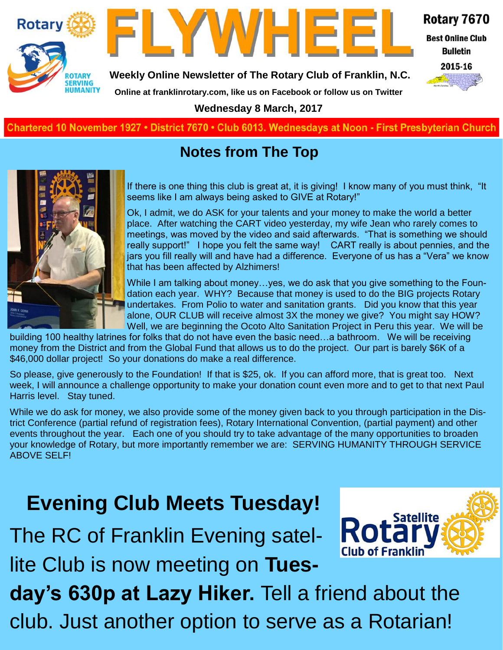



Rotary 7670

**Best Online Club Bulletin** 

2015-16



**Weekly Online Newsletter of The Rotary Club of Franklin, N.C.**

**Online at franklinrotary.com, like us on Facebook or follow us on Twitter**

**Wednesday 8 March, 2017**

**Charted November 29, 1927 • District 7670 • Club 6013 Wednesdays at Noon - First Presbyterian Church**

# **Notes from The Top**



If there is one thing this club is great at, it is giving! I know many of you must think, "It seems like I am always being asked to GIVE at Rotary!"

Ok, I admit, we do ASK for your talents and your money to make the world a better place. After watching the CART video yesterday, my wife Jean who rarely comes to meetings, was moved by the video and said afterwards. "That is something we should really support!" I hope you felt the same way! CART really is about pennies, and the jars you fill really will and have had a difference. Everyone of us has a "Vera" we know that has been affected by Alzhimers!

While I am talking about money…yes, we do ask that you give something to the Foundation each year. WHY? Because that money is used to do the BIG projects Rotary undertakes. From Polio to water and sanitation grants. Did you know that this year alone, OUR CLUB will receive almost 3X the money we give? You might say HOW? Well, we are beginning the Ocoto Alto Sanitation Project in Peru this year. We will be

building 100 healthy latrines for folks that do not have even the basic need…a bathroom. We will be receiving money from the District and from the Global Fund that allows us to do the project. Our part is barely \$6K of a \$46,000 dollar project! So your donations do make a real difference.

So please, give generously to the Foundation! If that is \$25, ok. If you can afford more, that is great too. Next week, I will announce a challenge opportunity to make your donation count even more and to get to that next Paul Harris level. Stay tuned.

While we do ask for money, we also provide some of the money given back to you through participation in the District Conference (partial refund of registration fees), Rotary International Convention, (partial payment) and other events throughout the year. Each one of you should try to take advantage of the many opportunities to broaden your knowledge of Rotary, but more importantly remember we are: SERVING HUMANITY THROUGH SERVICE ABOVE SELF!

# **Evening Club Meets Tuesday!**

The RC of Franklin Evening satellite Club is now meeting on **Tues-**



**day's 630p at Lazy Hiker.** Tell a friend about the club. Just another option to serve as a Rotarian!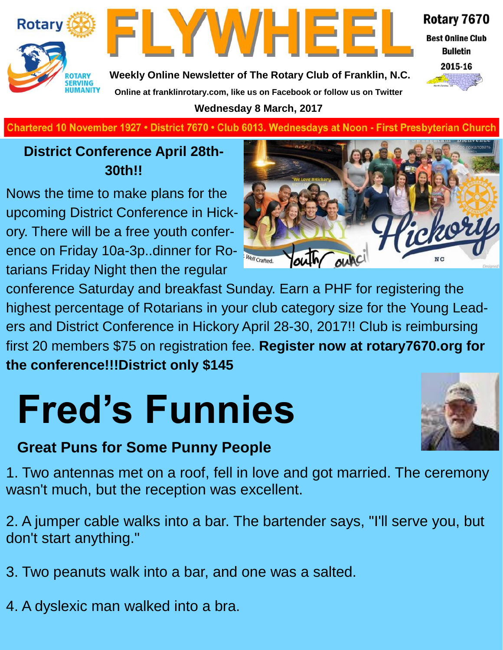

FLYWHEEI **Weekly Online Newsletter of The Rotary Club of Franklin, N.C.**



**Best Online Club Bulletin** 



**Charted November 29, 1927 • District 7670 • Club 6013 Wednesdays at Noon - First Presbyterian Church**

**Online at franklinrotary.com, like us on Facebook or follow us on Twitter Wednesday 8 March, 2017**

#### **District Conference April 28th-30th!!**

Nows the time to make plans for the upcoming District Conference in Hickory. There will be a free youth conference on Friday 10a-3p..dinner for Rotarians Friday Night then the regular

conference Saturday and breakfast Sunday. Earn a PHF for registering the highest percentage of Rotarians in your club category size for the Young Leaders and District Conference in Hickory April 28-30, 2017!! Club is reimbursing first 20 members \$75 on registration fee. **Register now at rotary7670.org for the conference!!!District only \$145**

# **Fred's Funnies**



#### **Great Puns for Some Punny People**

1. Two antennas met on a roof, fell in love and got married. The ceremony wasn't much, but the reception was excellent.

2. A jumper cable walks into a bar. The bartender says, "I'll serve you, but don't start anything."

- 3. Two peanuts walk into a bar, and one was a salted.
- 4. A dyslexic man walked into a bra.